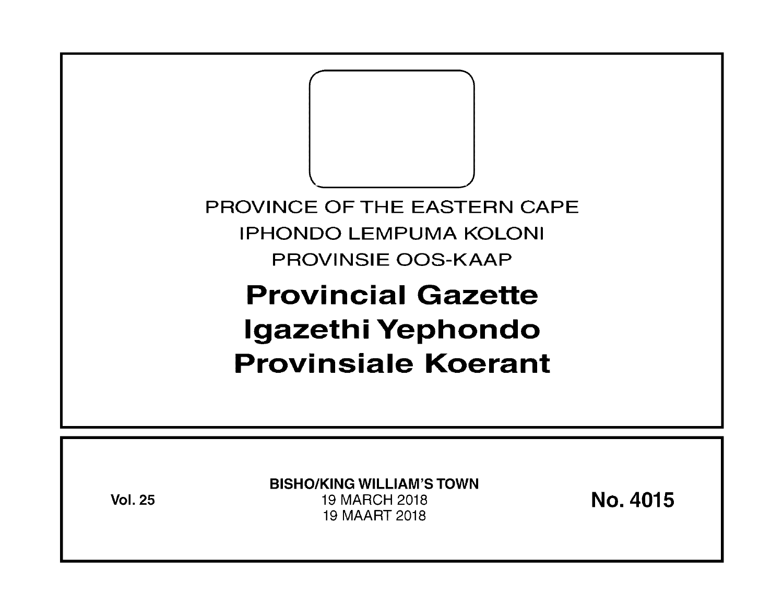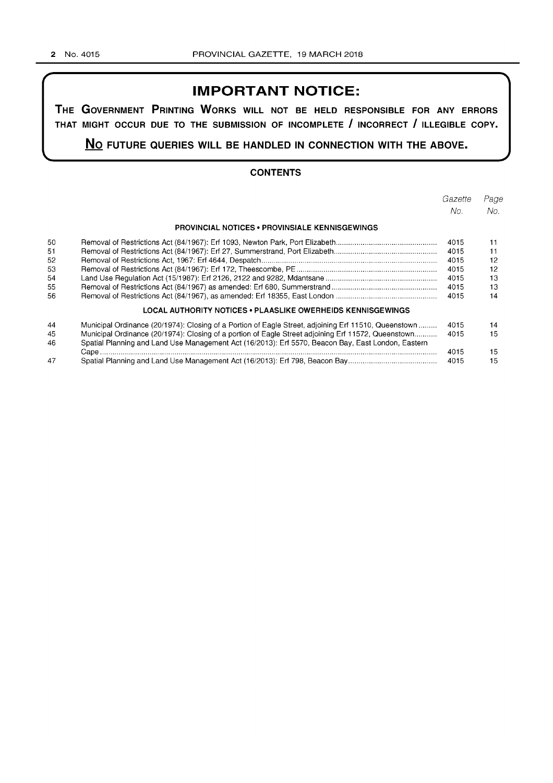## **IMPORTANT NOTICE:**

**THE GOVERNMENT PRINTING WORKS WILL NOT BE HELD RESPONSIBLE FOR ANY ERRORS THAT MIGHT OCCUR DUE TO THE SUBMISSION OF INCOMPLETE I INCORRECT I ILLEGIBLE COPY.** 

**No FUTURE QUERIES WILL BE HANDLED IN CONNECTION WITH THE ABOVE.** 

#### **CONTENTS**

|    |                                                                                                      | Gazette | Page |
|----|------------------------------------------------------------------------------------------------------|---------|------|
|    |                                                                                                      | No.     | No.  |
|    | <b>PROVINCIAL NOTICES • PROVINSIALE KENNISGEWINGS</b>                                                |         |      |
| 50 |                                                                                                      | 4015    | 11   |
| 51 |                                                                                                      | 4015    | 11   |
| 52 |                                                                                                      | 4015    | 12   |
| 53 |                                                                                                      | 4015    | 12   |
| 54 |                                                                                                      | 4015    | 13   |
| 55 |                                                                                                      | 4015    | 13   |
| 56 |                                                                                                      | 4015    | 14   |
|    | LOCAL AUTHORITY NOTICES • PLAASLIKE OWERHEIDS KENNISGEWINGS                                          |         |      |
| 44 | Municipal Ordinance (20/1974): Closing of a Portion of Eagle Street, adjoining Erf 11510, Queenstown | 4015    | 14   |
| 45 | Municipal Ordinance (20/1974): Closing of a portion of Eagle Street adjoining Erf 11572, Queenstown  | 4015    | 15   |
| 46 | Spatial Planning and Land Use Management Act (16/2013): Erf 5570, Beacon Bay, East London, Eastern   |         |      |
|    |                                                                                                      | 4015    | 15   |
| 47 |                                                                                                      | 4015    | 15   |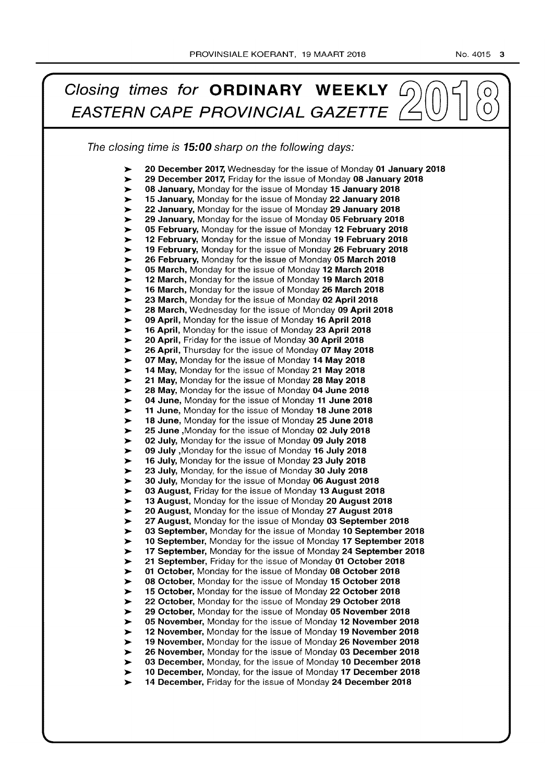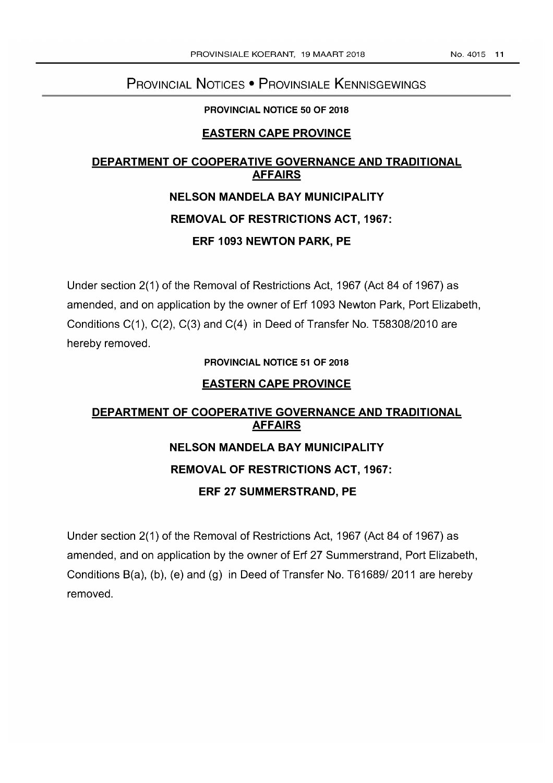# PROVINCIAL NOTICES • PROVINSIALE KENNISGEWINGS

#### PROVINCIAL NOTICE 50 OF 2018

### EASTERN CAPE PROVINCE

## DEPARTMENT OF COOPERATIVE GOVERNANCE AND TRADITIONAL AFFAIRS

# NELSON MANDELA BAY MUNICIPALITY REMOVAL OF RESTRICTIONS ACT, 1967: ERF 1093 NEWTON PARK, PE

Under section 2(1) of the Removal of Restrictions Act, 1967 (Act 84 of 1967) as amended, and on application by the owner of Erf 1093 Newton Park, Port Elizabeth, Conditions  $C(1)$ ,  $C(2)$ ,  $C(3)$  and  $C(4)$  in Deed of Transfer No. T58308/2010 are hereby removed.

#### PROVINCIAL NOTICE 51 OF 2018

#### EASTERN CAPE PROVINCE

# DEPARTMENT OF COOPERATIVE GOVERNANCE AND TRADITIONAL AFFAIRS NELSON MANDELA BAY MUNICIPALITY REMOVAL OF RESTRICTIONS ACT, 1967: ERF 27 SUMMERSTRAND, PE

Under section 2(1) of the Removal of Restrictions Act, 1967 (Act 84 of 1967) as amended, and on application by the owner of Erf 27 Summerstrand, Port Elizabeth, Conditions 8(a), (b), (e) and (g) in Deed of Transfer No. T61689/ 2011 are hereby removed.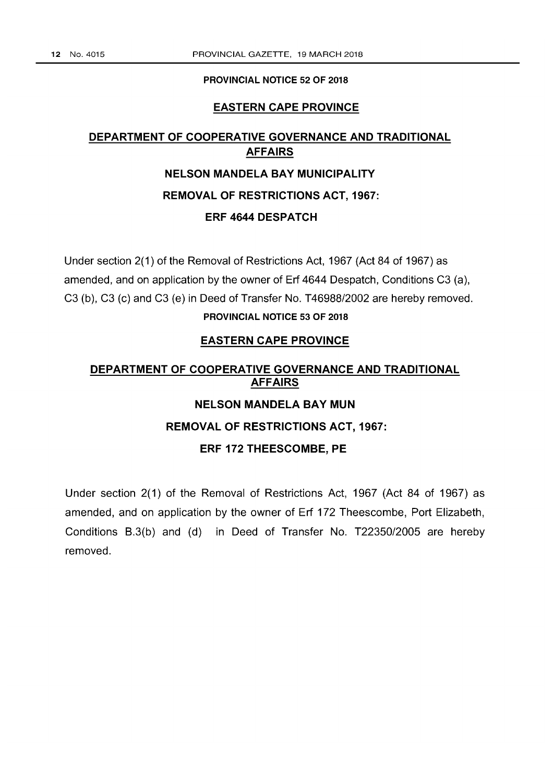#### PROVINCIAL NOTICE 52 OF 2018

#### EASTERN CAPE PROVINCE

# DEPARTMENT OF COOPERATIVE GOVERNANCE AND TRADITIONAL AFFAIRS NELSON MANDELA BAY MUNICIPALITY REMOVAL OF RESTRICTIONS ACT, 1967: ERF 4644 DESPATCH

Under section 2(1) of the Removal of Restrictions Act, 1967 (Act 84 of 1967) as amended, and on application by the owner of Erf 4644 Despatch, Conditions C3 (a), C3 (b), C3 (c) and C3 (e) in Deed of Transfer No. T46988/2002 are hereby removed. PROVINCIAL NOTICE 53 OF 2018

#### EASTERN CAPE PROVINCE

# DEPARTMENT OF COOPERATIVE GOVERNANCE AND TRADITIONAL AFFAIRS

# NELSON MANDELA BAY MUN

### REMOVAL OF RESTRICTIONS ACT, 1967:

#### ERF 172 THEESCOMBE, PE

Under section 2(1) of the Removal of Restrictions Act, 1967 (Act 84 of 1967) as amended, and on application by the owner of Erf 172 Theescombe, Port Elizabeth, Conditions B.3(b) and (d) in Deed of Transfer No. T22350/2005 are hereby removed.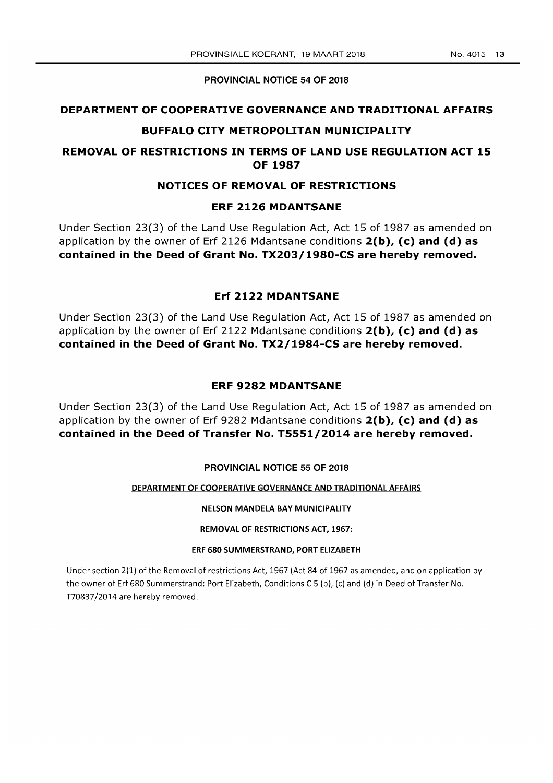#### PROVINCIAL NOTICE 54 OF 2018

#### DEPARTMENT OF COOPERATIVE GOVERNANCE AND TRADITIONAL AFFAIRS

#### BUFFALO CITY METROPOLITAN MUNICIPALITY

#### REMOVAL OF RESTRICTIONS IN TERMS OF LAND USE REGULATION ACT 15 OF 1987

#### NOTICES OF REMOVAL OF RESTRICTIONS

#### ERF 2126 MDANTSANE

Under Section 23(3) of the Land Use Regulation Act, Act 15 of 1987 as amended on application by the owner of Erf 2126 Mdantsane conditions  $2(b)$ , (c) and (d) as contained in the Deed of Grant No. TX203/1980-CS are hereby removed.

#### Erf 2122 MDANTSANE

Under Section 23(3) of the Land Use Regulation Act, Act 15 of 1987 as amended on application by the owner of Erf 2122 Mdantsane conditions  $2(b)$ , (c) and (d) as contained in the Deed of Grant No. TX2/1984-CS are hereby removed.

#### ERF 9282 MDANTSANE

Under Section 23(3) of the Land Use Regulation Act, Act 15 of 1987 as amended on application by the owner of Erf 9282 Mdantsane conditions  $2(b)$ , (c) and (d) as contained in the Deed of Transfer No. T5551/2014 are hereby removed.

#### PROVINCIAL NOTICE 55 OF 2018

#### DEPARTMENT OF COOPERATIVE GOVERNANCE AND TRADITIONAL AFFAIRS

#### NELSON MANDELA BAY MUNICIPALITY

#### REMOVAL OF RESTRICTIONS ACT, 1967:

#### ERF 680 SUMMERSTRAND, PORT ELIZABETH

Under section 2(1) of the Removal of restrictions Act, 1967 (Act 84 of 1967 as amended, and on application by the owner of Erf 680 Summerstrand: Port Elizabeth, Conditions C 5 (b), (c) and (d) in Deed of Transfer No. T70837/2014 are hereby removed.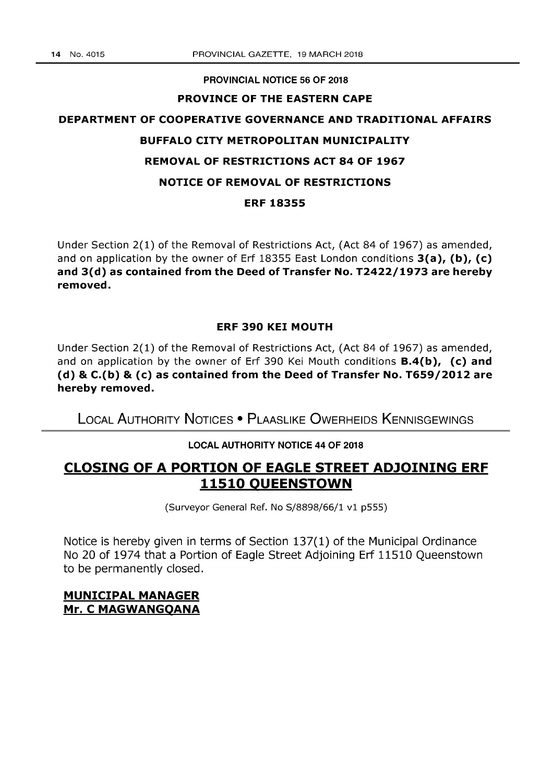#### PROVINCIAL NOTICE 56 OF 2018

#### PROVINCE OF THE EASTERN CAPE

# DEPARTMENT OF COOPERATIVE GOVERNANCE AND TRADITIONAL AFFAIRS BUFFALO CITY METROPOLITAN MUNICIPALITY REMOVAL OF RESTRICTIONS ACT 84 OF 1967 NOTICE OF REMOVAL OF RESTRICTIONS ERF 18355

Under Section 2(1) of the Removal of Restrictions Act, (Act 84 of 1967) as amended, and on application by the owner of Erf 18355 East London conditions  $3(a)$ , (b), (c) and 3(d) as contained from the Deed of Transfer No. T2422/1973 are hereby removed.

#### ERF 390 KEI MOUTH

Under Section 2(1) of the Removal of Restrictions Act, (Act 84 of 1967) as amended, and on application by the owner of Erf 390 Kei Mouth conditions  $B.4(b)$ , (c) and (d) & C.(b) & (c) as contained from the Deed of Transfer No. T659/2012 are hereby removed.

LOCAL AUTHORITY NOTICES • PLAASLIKE OWERHEIDS KENNISGEWINGS

### LOCAL AUTHORITY NOTICE 44 OF 2018

## CLOSING OF A PORTION OF EAGLE STREET ADJOINING ERF 11510 QUEENSTOWN

(Surveyor General Ref. No 5/8898/66/1 vi p555)

Notice is hereby given in terms of Section 137(1) of the Municipal Ordinance No 20 of 1974 that a Portion of Eagle Street Adjoining Erf 11510 Queenstown to be permanently closed.

### MUNICIPAL MANAGER Mr. C MAGWANGQANA